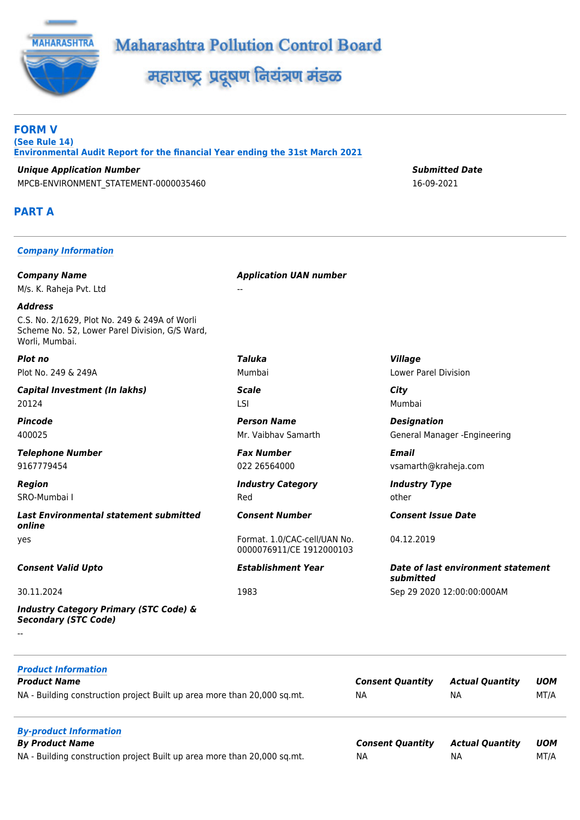



महाराष्ट्र प्रदूषण नियंत्रण मंडळ

**FORM V (See Rule 14) Environmental Audit Report for the financial Year ending the 31st March 2021**

*Unique Application Number Submitted Date* MPCB-ENVIRONMENT\_STATEMENT-0000035460 16-09-2021

# **PART A**

#### *Company Information*

*Company Name Application UAN number* M/s. K. Raheja Pvt. Ltd

*Address* C.S. No. 2/1629, Plot No. 249 & 249A of Worli Scheme No. 52, Lower Parel Division, G/S Ward, Worli, Mumbai.

*Plot no Taluka Village* Plot No. 249 & 249A Mumbai Lower Parel Division

*Capital Investment (In lakhs) Scale City* 20124 LSI Mumbai

*Telephone Number Fax Number Email*

*Last Environmental statement submitted online* yes Format. 1.0/CAC-cell/UAN No.

*Industry Category Primary (STC Code) & Secondary (STC Code)*

--

*Product Information Product Name Consent Quantity Actual Quantity UOM* NA - Building construction project Built up area more than 20,000 sq.mt. NA NA NA NA NA MT/A *By-product Information*  $By$  *Product Name* 

NA - Building construction project Built up area more than 20,000 sq.mt.

*Pincode Person Name Designation*

*Region Industry Category Industry Type* SRO-Mumbai I and other control of the control of the control of the control of the control of the control of the control of the control of the control of the control of the control of the control of the control of the cont

0000076911/CE 1912000103

400025 Mr. Vaibhav Samarth General Manager -Engineering

9167779454 022 26564000 vsamarth@kraheja.com

*Consent Number Consent Issue Date*

04.12.2019

*Consent Valid Upto Establishment Year Date of last environment statement submitted* 30.11.2024 1983 Sep 29 2020 12:00:00:000AM

| <b>Consent Quantity</b> | Actual Quantity | <b>UOM</b> |
|-------------------------|-----------------|------------|
| ΝA                      | ΝA              | MT/A       |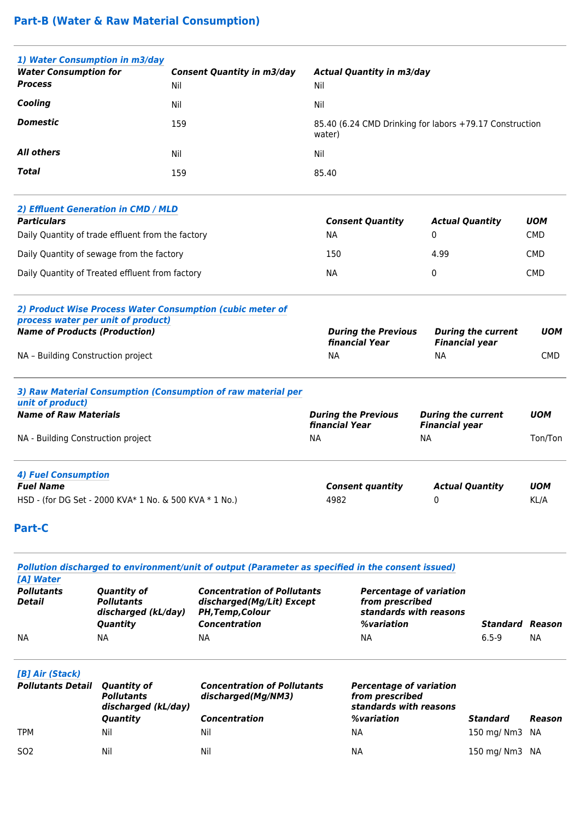# **Part-B (Water & Raw Material Consumption)**

| 1) Water Consumption in m3/day                                                         |                                                                                                 |                                                                                                             |                                                                   |                                                                                           |                                                                 |                           |                          |  |
|----------------------------------------------------------------------------------------|-------------------------------------------------------------------------------------------------|-------------------------------------------------------------------------------------------------------------|-------------------------------------------------------------------|-------------------------------------------------------------------------------------------|-----------------------------------------------------------------|---------------------------|--------------------------|--|
| <b>Water Consumption for</b><br><b>Process</b>                                         | Nil                                                                                             | <b>Consent Quantity in m3/day</b>                                                                           | Nil                                                               | <b>Actual Quantity in m3/day</b>                                                          |                                                                 |                           |                          |  |
| Cooling                                                                                | Nil                                                                                             |                                                                                                             | Nil                                                               |                                                                                           |                                                                 |                           |                          |  |
| <b>Domestic</b>                                                                        | 159                                                                                             |                                                                                                             | 85.40 (6.24 CMD Drinking for labors +79.17 Construction<br>water) |                                                                                           |                                                                 |                           |                          |  |
| <b>All others</b>                                                                      | Nil                                                                                             |                                                                                                             | Nil                                                               |                                                                                           |                                                                 |                           |                          |  |
| <b>Total</b>                                                                           | 159                                                                                             |                                                                                                             | 85.40                                                             |                                                                                           |                                                                 |                           |                          |  |
|                                                                                        | 2) Effluent Generation in CMD / MLD                                                             |                                                                                                             |                                                                   |                                                                                           |                                                                 |                           |                          |  |
| <b>Particulars</b>                                                                     | Daily Quantity of trade effluent from the factory                                               |                                                                                                             | <b>NA</b>                                                         | <b>Consent Quantity</b>                                                                   | <b>Actual Quantity</b><br>0                                     |                           | <b>UOM</b><br><b>CMD</b> |  |
|                                                                                        | Daily Quantity of sewage from the factory                                                       |                                                                                                             | 150                                                               |                                                                                           | 4.99                                                            |                           | <b>CMD</b>               |  |
|                                                                                        | Daily Quantity of Treated effluent from factory                                                 |                                                                                                             | <b>NA</b>                                                         |                                                                                           | 0                                                               |                           | <b>CMD</b>               |  |
| <b>Name of Products (Production)</b><br>NA - Building Construction project             | 2) Product Wise Process Water Consumption (cubic meter of<br>process water per unit of product) |                                                                                                             | <b>NA</b>                                                         | <b>During the Previous</b><br>financial Year                                              | <b>Financial year</b><br><b>NA</b>                              | <b>During the current</b> | <b>UOM</b><br><b>CMD</b> |  |
| unit of product)<br><b>Name of Raw Materials</b><br>NA - Building Construction project |                                                                                                 | 3) Raw Material Consumption (Consumption of raw material per                                                | financial Year<br><b>NA</b>                                       | <b>During the Previous</b>                                                                | <b>During the current</b><br><b>Financial year</b><br><b>NA</b> |                           | <b>UOM</b><br>Ton/Ton    |  |
| <b>4) Fuel Consumption</b><br><b>Fuel Name</b><br><b>Part-C</b>                        | HSD - (for DG Set - 2000 KVA* 1 No. & 500 KVA * 1 No.)                                          |                                                                                                             | 4982                                                              | <b>Consent quantity</b>                                                                   | 0                                                               | <b>Actual Quantity</b>    | <b>UOM</b><br>KL/A       |  |
| [A] Water                                                                              |                                                                                                 | Pollution discharged to environment/unit of output (Parameter as specified in the consent issued)           |                                                                   |                                                                                           |                                                                 |                           |                          |  |
| <b>Pollutants</b><br><b>Detail</b>                                                     | <b>Quantity of</b><br><b>Pollutants</b><br>discharged (kL/day)<br>Quantity                      | <b>Concentration of Pollutants</b><br>discharged(Mg/Lit) Except<br>PH, Temp, Colour<br><b>Concentration</b> |                                                                   | <b>Percentage of variation</b><br>from prescribed<br>standards with reasons<br>%variation |                                                                 | Standard Reason           |                          |  |
| NA.                                                                                    | <b>NA</b>                                                                                       | <b>NA</b>                                                                                                   |                                                                   | <b>NA</b>                                                                                 |                                                                 | $6.5 - 9$                 | <b>NA</b>                |  |
| [B] Air (Stack)<br><b>Pollutants Detail</b>                                            | <b>Quantity of</b><br><b>Pollutants</b><br>discharged (kL/day)<br>Quantity                      | <b>Concentration of Pollutants</b><br>discharged(Mg/NM3)<br><b>Concentration</b>                            |                                                                   | <b>Percentage of variation</b><br>from prescribed<br>standards with reasons<br>%variation |                                                                 | <b>Standard</b>           | Reason                   |  |

TPM Nil Nil Nil Nil Nil Nil Na NA 150 mg/ Nm3 NA

SO2 Nil Nil Nil Nil Nil Nil Na NA 150 mg/ Nm3 NA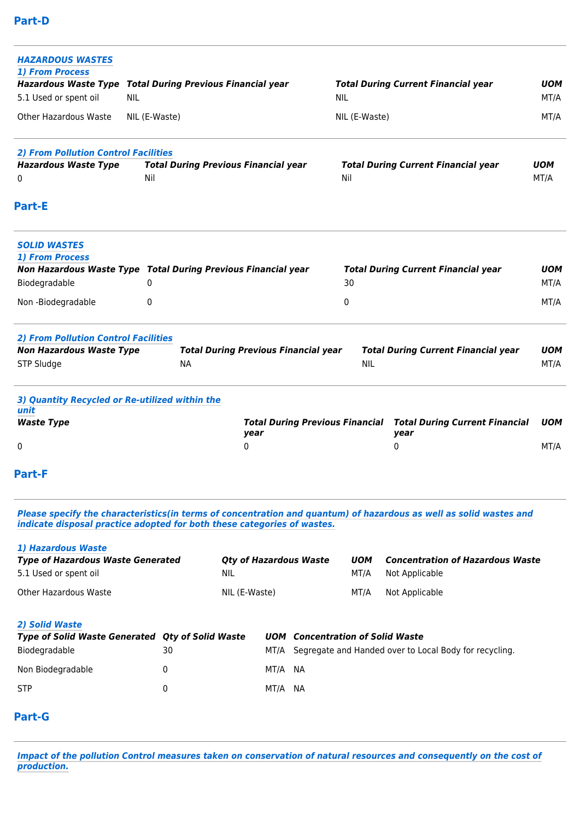| <b>HAZARDOUS WASTES</b><br><b>1) From Process</b><br>Hazardous Waste Type Total During Previous Financial year |               |                                                                         |               | <b>Total During Current Financial year</b>                                                                         | <b>UOM</b>         |
|----------------------------------------------------------------------------------------------------------------|---------------|-------------------------------------------------------------------------|---------------|--------------------------------------------------------------------------------------------------------------------|--------------------|
| 5.1 Used or spent oil<br><b>NIL</b>                                                                            |               |                                                                         | <b>NIL</b>    |                                                                                                                    | MT/A               |
| Other Hazardous Waste                                                                                          | NIL (E-Waste) |                                                                         | NIL (E-Waste) |                                                                                                                    | MT/A               |
| <b>2) From Pollution Control Facilities</b>                                                                    |               |                                                                         |               |                                                                                                                    |                    |
| <b>Hazardous Waste Type</b><br>0                                                                               | Nil           | <b>Total During Previous Financial year</b>                             | Nil           | <b>Total During Current Financial year</b>                                                                         | <b>UOM</b><br>MT/A |
| <b>Part-E</b>                                                                                                  |               |                                                                         |               |                                                                                                                    |                    |
| <b>SOLID WASTES</b><br>1) From Process                                                                         |               |                                                                         |               |                                                                                                                    |                    |
|                                                                                                                |               | Non Hazardous Waste Type Total During Previous Financial year           |               | <b>Total During Current Financial year</b>                                                                         | <b>UOM</b>         |
| Biodegradable                                                                                                  | 0             |                                                                         | 30            |                                                                                                                    | MT/A               |
| Non-Biodegradable                                                                                              | 0             |                                                                         | 0             |                                                                                                                    | MT/A               |
| <b>2) From Pollution Control Facilities</b>                                                                    |               |                                                                         |               |                                                                                                                    |                    |
| <b>Non Hazardous Waste Type</b>                                                                                |               | <b>Total During Previous Financial year</b>                             |               | <b>Total During Current Financial year</b>                                                                         | UOM                |
| STP Sludge                                                                                                     | <b>NA</b>     |                                                                         | <b>NIL</b>    |                                                                                                                    | MT/A               |
| 3) Quantity Recycled or Re-utilized within the<br>unit                                                         |               |                                                                         |               |                                                                                                                    |                    |
| <b>Waste Type</b>                                                                                              |               | <b>Total During Previous Financial</b><br>year                          |               | <b>Total During Current Financial</b><br>year                                                                      | <b>UOM</b>         |
| 0                                                                                                              |               | 0                                                                       |               | 0                                                                                                                  | MT/A               |
| <b>Part-F</b>                                                                                                  |               |                                                                         |               |                                                                                                                    |                    |
|                                                                                                                |               | indicate disposal practice adopted for both these categories of wastes. |               | Please specify the characteristics(in terms of concentration and quantum) of hazardous as well as solid wastes and |                    |
| 1) Hazardous Waste                                                                                             |               |                                                                         |               |                                                                                                                    |                    |
| <b>Type of Hazardous Waste Generated</b>                                                                       |               | <b>Qty of Hazardous Waste</b>                                           | <b>UOM</b>    | <b>Concentration of Hazardous Waste</b>                                                                            |                    |
| 5.1 Used or spent oil                                                                                          |               | <b>NIL</b>                                                              | MT/A          | Not Applicable                                                                                                     |                    |
| Other Hazardous Waste                                                                                          |               | NIL (E-Waste)                                                           | MT/A          | Not Applicable                                                                                                     |                    |
| 2) Solid Waste                                                                                                 |               |                                                                         |               |                                                                                                                    |                    |

| <i>LI JUHU WWJL</i> U                                   |    |            |                                                             |
|---------------------------------------------------------|----|------------|-------------------------------------------------------------|
| <b>Type of Solid Waste Generated Oty of Solid Waste</b> |    | <b>UOM</b> | <b>Concentration of Solid Waste</b>                         |
| Biodegradable                                           | 30 |            | MT/A Segregate and Handed over to Local Body for recycling. |
| Non Biodegradable                                       |    | MT/A NA    |                                                             |
| <b>STP</b>                                              | O. | MT/A NA    |                                                             |

# **Part-G**

*Impact of the pollution Control measures taken on conservation of natural resources and consequently on the cost of production.*